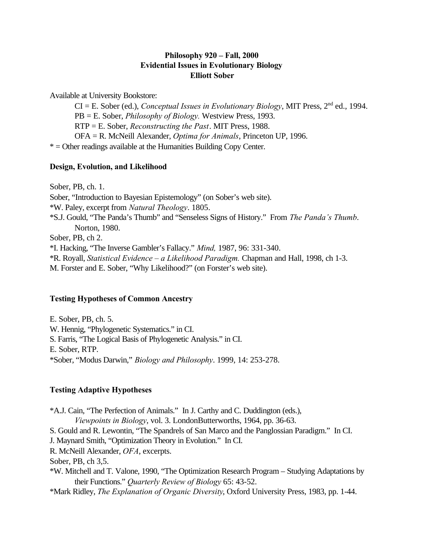## **Philosophy 920 – Fall, 2000 Evidential Issues in Evolutionary Biology Elliott Sober**

Available at University Bookstore:

CI = E. Sober (ed.), *Conceptual Issues in Evolutionary Biology*, MIT Press, 2nd ed., 1994. PB = E. Sober, *Philosophy of Biology.* Westview Press, 1993. RTP = E. Sober, *Reconstructing the Past*. MIT Press, 1988. OFA = R. McNeill Alexander, *Optima for Animals*, Princeton UP, 1996. \* = Other readings available at the Humanities Building Copy Center.

## **Design, Evolution, and Likelihood**

Sober, PB, ch. 1. Sober, "Introduction to Bayesian Epistemology" (on Sober's web site). \*W. Paley, excerpt from *Natural Theology*. 1805. \*S.J. Gould, "The Panda's Thumb" and "Senseless Signs of History." From *The Panda's Thumb*. Norton, 1980. Sober, PB, ch 2. \*I. Hacking, "The Inverse Gambler's Fallacy." *Mind,* 1987, 96: 331-340. \*R. Royall, *Statistical Evidence – a Likelihood Paradigm.* Chapman and Hall, 1998, ch 1-3. M. Forster and E. Sober, "Why Likelihood?" (on Forster's web site).

## **Testing Hypotheses of Common Ancestry**

E. Sober, PB, ch. 5. W. Hennig, "Phylogenetic Systematics." in CI. S. Farris, "The Logical Basis of Phylogenetic Analysis." in CI. E. Sober, RTP. \*Sober, "Modus Darwin," *Biology and Philosophy*. 1999, 14: 253-278.

## **Testing Adaptive Hypotheses**

\*A.J. Cain, "The Perfection of Animals." In J. Carthy and C. Duddington (eds.), *Viewpoints in Biology*, vol. 3. LondonButterworths, 1964, pp. 36-63. S. Gould and R. Lewontin, "The Spandrels of San Marco and the Panglossian Paradigm." In CI. J. Maynard Smith, "Optimization Theory in Evolution." In CI. R. McNeill Alexander, *OFA*, excerpts. Sober, PB, ch 3,5. \*W. Mitchell and T. Valone, 1990, "The Optimization Research Program – Studying Adaptations by their Functions." *Quarterly Review of Biology* 65: 43-52.

\*Mark Ridley, *The Explanation of Organic Diversity*, Oxford University Press, 1983, pp. 1-44.